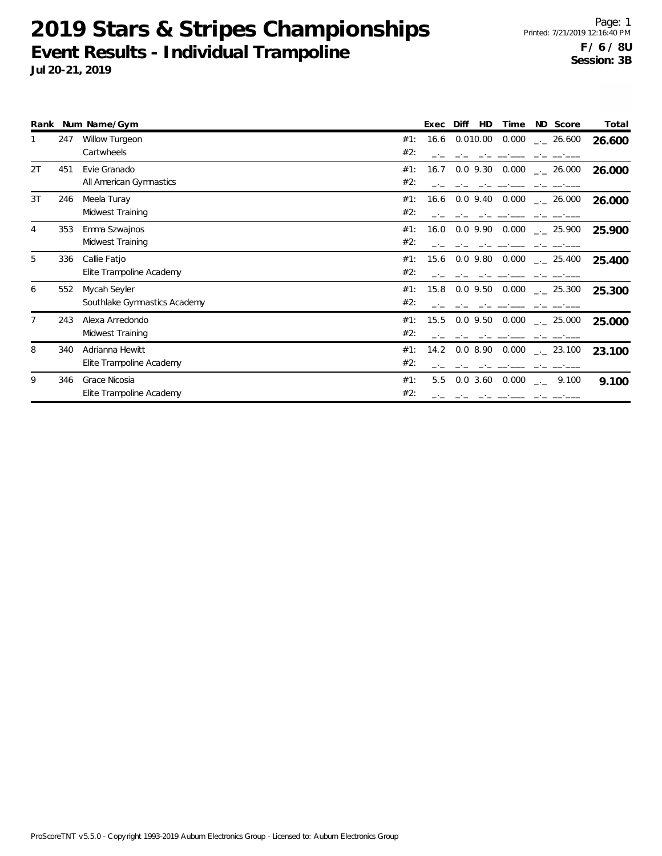|    |     | Rank Num Name/Gym            |     | Exec | Diff        | HD | Time  | ND Score                          | Total  |
|----|-----|------------------------------|-----|------|-------------|----|-------|-----------------------------------|--------|
|    | 247 | <b>Willow Turgeon</b>        | #1: | 16.6 | 0.010.00    |    | 0.000 | $-26.600$                         | 26.600 |
|    |     | Cartwheels                   | #2: |      |             |    |       |                                   |        |
| 2T | 451 | Evie Granado                 | #1: | 16.7 | $0.0$ 9.30  |    |       | $0.000$ $_{\leftarrow}$ 26.000    | 26.000 |
|    |     | All American Gymnastics      | #2: |      |             |    |       |                                   |        |
| 3T | 246 | Meela Turay                  | #1: | 16.6 | $0.0$ 9.40  |    |       | $0.000$ $_{\leftarrow}$ 26.000    | 26.000 |
|    |     | Midwest Training             | #2: |      |             |    |       |                                   |        |
| 4  | 353 | Emma Szwajnos                | #1: | 16.0 | 0.0 9.90    |    |       | $0.000$ _._ 25.900                | 25.900 |
|    |     | Midwest Training             | #2: |      |             |    |       |                                   |        |
| 5  | 336 | Callie Fatjo                 | #1: | 15.6 | $0.0$ 9.80  |    | 0.000 | $\sim$ 25.400                     | 25.400 |
|    |     | Elite Trampoline Academy     | #2: |      |             |    |       |                                   |        |
| 6  | 552 | Mycah Seyler                 | #1: | 15.8 | $0.0\,9.50$ |    | 0.000 | $\sim$ 25.300                     | 25.300 |
|    |     | Southlake Gymnastics Academy | #2: |      |             |    |       |                                   |        |
|    | 243 | Alexa Arredondo              | #1: | 15.5 | $0.0\,9.50$ |    |       | $0.000$ $_{\leftarrow}$ 25.000    | 25.000 |
|    |     | Midwest Training             | #2: |      |             |    |       |                                   |        |
| 8  | 340 | Adrianna Hewitt              | #1: | 14.2 |             |    |       | $0.0$ 8.90 $0.000$ $_{--}$ 23.100 | 23.100 |
|    |     | Elite Trampoline Academy     | #2: |      |             |    |       |                                   |        |
| 9  | 346 | Grace Nicosia                | #1: | 5.5  | 0.03.60     |    | 0.000 | 9.100<br><b>College</b>           | 9.100  |
|    |     | Elite Trampoline Academy     | #2: |      |             |    |       |                                   |        |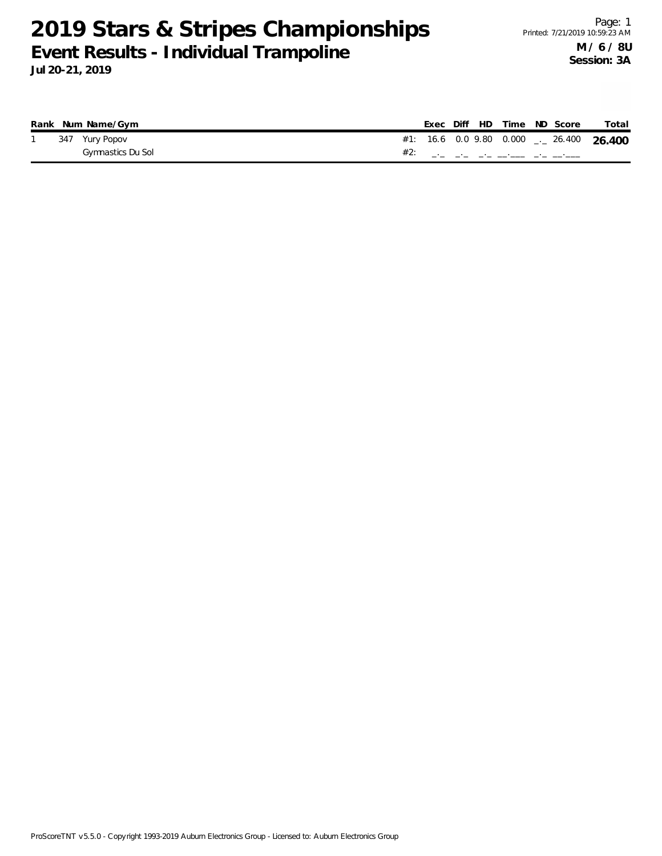|  | Rank Num Name/Gym |  |  |  | Exec Diff HD Time ND Score | Total                                         |
|--|-------------------|--|--|--|----------------------------|-----------------------------------------------|
|  | 347 Yury Popov    |  |  |  |                            | #1: 16.6 0.0 9.80 0.000 $_{--}$ 26.400 26.400 |
|  | Gymnastics Du Sol |  |  |  |                            |                                               |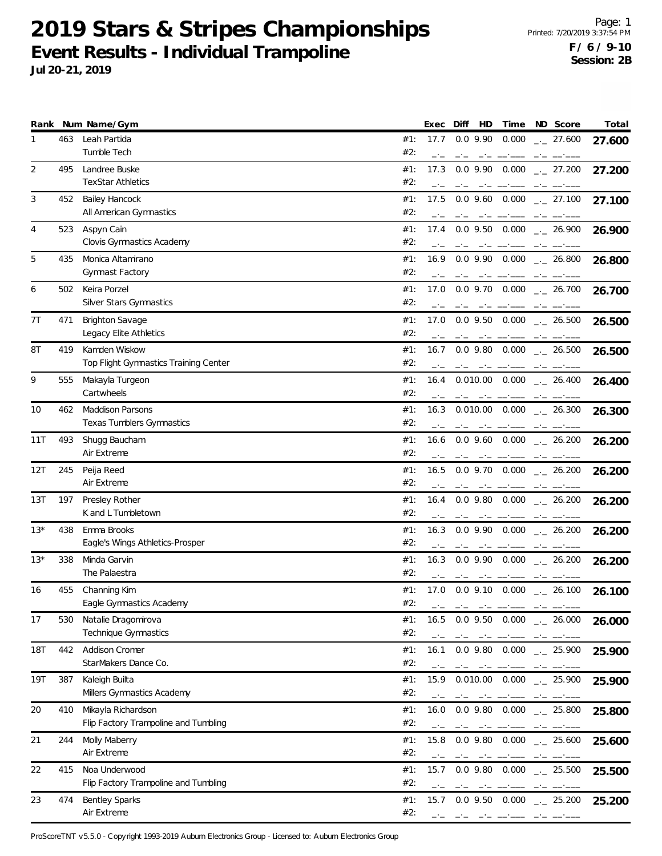**Jul 20-21, 2019**

| Rank       |     | Num Name/Gym                          |            | Exec   | Diff<br>HD                                                                                                                                                                                                                                                                                                                                                                                      | Time                                                                                                                                                                                                                           | ND Score                                                                                                                                                                                                                                                                                                                                                                                                                                                                   | Total  |
|------------|-----|---------------------------------------|------------|--------|-------------------------------------------------------------------------------------------------------------------------------------------------------------------------------------------------------------------------------------------------------------------------------------------------------------------------------------------------------------------------------------------------|--------------------------------------------------------------------------------------------------------------------------------------------------------------------------------------------------------------------------------|----------------------------------------------------------------------------------------------------------------------------------------------------------------------------------------------------------------------------------------------------------------------------------------------------------------------------------------------------------------------------------------------------------------------------------------------------------------------------|--------|
| 1          | 463 | Leah Partida                          | #1:        | 17.7   | $0.0$ 9.90                                                                                                                                                                                                                                                                                                                                                                                      | 0.000                                                                                                                                                                                                                          | $\frac{1}{2}$ 27.600                                                                                                                                                                                                                                                                                                                                                                                                                                                       | 27.600 |
|            |     | Tumble Tech                           | #2:        | $-1$   |                                                                                                                                                                                                                                                                                                                                                                                                 |                                                                                                                                                                                                                                |                                                                                                                                                                                                                                                                                                                                                                                                                                                                            |        |
| 2          | 495 | Landree Buske                         | #1:        | 17.3   | $0.0$ 9.90                                                                                                                                                                                                                                                                                                                                                                                      | 0.000                                                                                                                                                                                                                          | $-27.200$                                                                                                                                                                                                                                                                                                                                                                                                                                                                  | 27.200 |
|            |     | <b>TexStar Athletics</b>              | #2:        | -1-    | $-1$<br>$-1$                                                                                                                                                                                                                                                                                                                                                                                    |                                                                                                                                                                                                                                | $-1$                                                                                                                                                                                                                                                                                                                                                                                                                                                                       |        |
| 3          | 452 | Bailey Hancock                        | #1:        | 17.5   | $0.0$ 9.60 $0.000$                                                                                                                                                                                                                                                                                                                                                                              |                                                                                                                                                                                                                                | $-27.100$                                                                                                                                                                                                                                                                                                                                                                                                                                                                  | 27.100 |
|            |     | All American Gymnastics               | #2:        |        |                                                                                                                                                                                                                                                                                                                                                                                                 |                                                                                                                                                                                                                                |                                                                                                                                                                                                                                                                                                                                                                                                                                                                            |        |
| 4          | 523 | Aspyn Cain                            | #1:        | 17.4   | $0.0$ 9.50 $0.000$                                                                                                                                                                                                                                                                                                                                                                              |                                                                                                                                                                                                                                | $-26.900$                                                                                                                                                                                                                                                                                                                                                                                                                                                                  | 26.900 |
|            |     | Clovis Gymnastics Academy             | #2:        |        |                                                                                                                                                                                                                                                                                                                                                                                                 |                                                                                                                                                                                                                                |                                                                                                                                                                                                                                                                                                                                                                                                                                                                            |        |
| 5          | 435 | Monica Altamirano                     | #1:        | 16.9   | $0.0$ 9.90                                                                                                                                                                                                                                                                                                                                                                                      | 0.000                                                                                                                                                                                                                          | $\frac{1}{2}$ 26.800                                                                                                                                                                                                                                                                                                                                                                                                                                                       | 26.800 |
|            |     | Gymnast Factory                       | #2:        |        |                                                                                                                                                                                                                                                                                                                                                                                                 |                                                                                                                                                                                                                                |                                                                                                                                                                                                                                                                                                                                                                                                                                                                            |        |
| 6          | 502 | Keira Porzel                          | #1:        | 17.0   | $0.0$ 9.70                                                                                                                                                                                                                                                                                                                                                                                      | 0.000                                                                                                                                                                                                                          |                                                                                                                                                                                                                                                                                                                                                                                                                                                                            |        |
|            |     | Silver Stars Gymnastics               | #2:        |        |                                                                                                                                                                                                                                                                                                                                                                                                 |                                                                                                                                                                                                                                | $-26.700$                                                                                                                                                                                                                                                                                                                                                                                                                                                                  | 26.700 |
|            |     |                                       |            |        |                                                                                                                                                                                                                                                                                                                                                                                                 |                                                                                                                                                                                                                                |                                                                                                                                                                                                                                                                                                                                                                                                                                                                            |        |
| 7T         | 471 | <b>Brighton Savage</b>                | #1:        | 17.0   | $0.0$ 9.50 $0.000$                                                                                                                                                                                                                                                                                                                                                                              |                                                                                                                                                                                                                                | $-26.500$                                                                                                                                                                                                                                                                                                                                                                                                                                                                  | 26.500 |
|            |     | Legacy Elite Athletics                | #2:        |        |                                                                                                                                                                                                                                                                                                                                                                                                 |                                                                                                                                                                                                                                |                                                                                                                                                                                                                                                                                                                                                                                                                                                                            |        |
| 8T         | 419 | Kamden Wiskow                         | #1:        | 16.7   | $0.0$ 9.80                                                                                                                                                                                                                                                                                                                                                                                      | 0.000                                                                                                                                                                                                                          | $\frac{1}{2}$ 26.500                                                                                                                                                                                                                                                                                                                                                                                                                                                       | 26.500 |
|            |     | Top Flight Gymnastics Training Center | #2:        |        | $-1$                                                                                                                                                                                                                                                                                                                                                                                            |                                                                                                                                                                                                                                |                                                                                                                                                                                                                                                                                                                                                                                                                                                                            |        |
| 9          | 555 | Makayla Turgeon                       | #1:        | 16.4   | $0.010.00$ $0.000$                                                                                                                                                                                                                                                                                                                                                                              |                                                                                                                                                                                                                                | $\frac{1}{2}$ 26.400                                                                                                                                                                                                                                                                                                                                                                                                                                                       | 26.400 |
|            |     | Cartwheels                            | #2:        |        | $-1$                                                                                                                                                                                                                                                                                                                                                                                            | سيست السبب السائسي                                                                                                                                                                                                             | $-1$                                                                                                                                                                                                                                                                                                                                                                                                                                                                       |        |
| 10         | 462 | Maddison Parsons                      | #1:        | 16.3   | $0.010.00$ $0.000$                                                                                                                                                                                                                                                                                                                                                                              |                                                                                                                                                                                                                                | $\frac{1}{2}$ 26.300                                                                                                                                                                                                                                                                                                                                                                                                                                                       | 26.300 |
|            |     | <b>Texas Tumblers Gymnastics</b>      | #2:        |        |                                                                                                                                                                                                                                                                                                                                                                                                 |                                                                                                                                                                                                                                |                                                                                                                                                                                                                                                                                                                                                                                                                                                                            |        |
| 11T        | 493 | Shugg Baucham                         | #1:        | 16.6   | $0.0$ 9.60                                                                                                                                                                                                                                                                                                                                                                                      | 0.000                                                                                                                                                                                                                          |                                                                                                                                                                                                                                                                                                                                                                                                                                                                            |        |
|            |     | Air Extreme                           | #2:        |        |                                                                                                                                                                                                                                                                                                                                                                                                 |                                                                                                                                                                                                                                | $\frac{1}{2}$ 26.200                                                                                                                                                                                                                                                                                                                                                                                                                                                       | 26.200 |
|            |     |                                       |            |        |                                                                                                                                                                                                                                                                                                                                                                                                 |                                                                                                                                                                                                                                |                                                                                                                                                                                                                                                                                                                                                                                                                                                                            |        |
| 12T        | 245 | Peija Reed                            | #1:        | 16.5   | $0.0$ 9.70 $0.000$                                                                                                                                                                                                                                                                                                                                                                              |                                                                                                                                                                                                                                | $\frac{1}{2}$ 26.200                                                                                                                                                                                                                                                                                                                                                                                                                                                       | 26.200 |
|            |     | Air Extreme                           | #2:        |        |                                                                                                                                                                                                                                                                                                                                                                                                 |                                                                                                                                                                                                                                |                                                                                                                                                                                                                                                                                                                                                                                                                                                                            |        |
| 13T        | 197 | Presley Rother                        | #1:        | 16.4   | $0.0$ 9.80                                                                                                                                                                                                                                                                                                                                                                                      | 0.000                                                                                                                                                                                                                          | $\frac{1}{2}$ 26.200                                                                                                                                                                                                                                                                                                                                                                                                                                                       | 26.200 |
|            |     | K and L Tumbletown                    | #2:        |        | $-1$                                                                                                                                                                                                                                                                                                                                                                                            |                                                                                                                                                                                                                                | $-1$                                                                                                                                                                                                                                                                                                                                                                                                                                                                       |        |
| $13*$      | 438 | Emma Brooks                           | #1:        | 16.3   | $0.0$ 9.90                                                                                                                                                                                                                                                                                                                                                                                      | 0.000                                                                                                                                                                                                                          | $-26.200$                                                                                                                                                                                                                                                                                                                                                                                                                                                                  | 26.200 |
|            |     | Eagle's Wings Athletics-Prosper       | #2:        |        |                                                                                                                                                                                                                                                                                                                                                                                                 |                                                                                                                                                                                                                                |                                                                                                                                                                                                                                                                                                                                                                                                                                                                            |        |
| $13*$      | 338 | Minda Garvin                          | #1:        | 16.3   | $0.0$ 9.90                                                                                                                                                                                                                                                                                                                                                                                      | 0.000                                                                                                                                                                                                                          | $-26.200$                                                                                                                                                                                                                                                                                                                                                                                                                                                                  | 26.200 |
|            |     | The Palaestra                         | #2:        |        | when the company of the company of                                                                                                                                                                                                                                                                                                                                                              |                                                                                                                                                                                                                                |                                                                                                                                                                                                                                                                                                                                                                                                                                                                            |        |
| 16         | 455 | Channing Kim                          | #1:        | 17.0   | $0.0$ 9.10 $0.000$                                                                                                                                                                                                                                                                                                                                                                              |                                                                                                                                                                                                                                | $\frac{1}{2}$ 26.100                                                                                                                                                                                                                                                                                                                                                                                                                                                       | 26.100 |
|            |     | Eagle Gymnastics Academy              | #2:        | $\sim$ | $\sim$                                                                                                                                                                                                                                                                                                                                                                                          | <b>Contract</b>                                                                                                                                                                                                                |                                                                                                                                                                                                                                                                                                                                                                                                                                                                            |        |
|            |     |                                       |            |        |                                                                                                                                                                                                                                                                                                                                                                                                 |                                                                                                                                                                                                                                |                                                                                                                                                                                                                                                                                                                                                                                                                                                                            |        |
| 17         | 530 | Natalie Dragomirova                   | #1:        | 16.5   | $0.0$ 9.50                                                                                                                                                                                                                                                                                                                                                                                      |                                                                                                                                                                                                                                | $0.000$ $_{\leftarrow}$ 26.000                                                                                                                                                                                                                                                                                                                                                                                                                                             | 26.000 |
|            |     | Technique Gymnastics                  | #2:        |        | $-1$                                                                                                                                                                                                                                                                                                                                                                                            |                                                                                                                                                                                                                                | $-1$                                                                                                                                                                                                                                                                                                                                                                                                                                                                       |        |
| <b>18T</b> | 442 | Addison Cromer                        | #1:        | 16.1   | $0.0$ 9.80 $0.000$                                                                                                                                                                                                                                                                                                                                                                              |                                                                                                                                                                                                                                | $-25.900$                                                                                                                                                                                                                                                                                                                                                                                                                                                                  | 25.900 |
|            |     | StarMakers Dance Co.                  | #2:        |        |                                                                                                                                                                                                                                                                                                                                                                                                 |                                                                                                                                                                                                                                |                                                                                                                                                                                                                                                                                                                                                                                                                                                                            |        |
| 19T        | 387 | Kaleigh Builta                        | #1:        | 15.9   | 0.010.00                                                                                                                                                                                                                                                                                                                                                                                        | 0.000                                                                                                                                                                                                                          | $\frac{1}{2}$ 25.900                                                                                                                                                                                                                                                                                                                                                                                                                                                       | 25.900 |
|            |     | Millers Gymnastics Academy            | #2:        | $-1$   | $-1$                                                                                                                                                                                                                                                                                                                                                                                            | and the component of the contract of the contract of the contract of the contract of the contract of the contract of the contract of the contract of the contract of the contract of the contract of the contract of the contr |                                                                                                                                                                                                                                                                                                                                                                                                                                                                            |        |
| 20         | 410 | Mikayla Richardson                    | #1:        | 16.0   | $0.0$ 9.80 $0.000$                                                                                                                                                                                                                                                                                                                                                                              |                                                                                                                                                                                                                                | $\sim$ 25.800                                                                                                                                                                                                                                                                                                                                                                                                                                                              | 25.800 |
|            |     | Flip Factory Trampoline and Tumbling  | #2:        | $-1$   | $\begin{array}{cccccccccccccc} -\frac{1}{2} & -\frac{1}{2} & -\frac{1}{2} & -\frac{1}{2} & -\frac{1}{2} & -\frac{1}{2} & -\frac{1}{2} & -\frac{1}{2} & -\frac{1}{2} & -\frac{1}{2} & -\frac{1}{2} & -\frac{1}{2} & -\frac{1}{2} & -\frac{1}{2} & -\frac{1}{2} & -\frac{1}{2} & -\frac{1}{2} & -\frac{1}{2} & -\frac{1}{2} & -\frac{1}{2} & -\frac{1}{2} & -\frac{1}{2} & -\frac{1}{2} & -\frac$ |                                                                                                                                                                                                                                |                                                                                                                                                                                                                                                                                                                                                                                                                                                                            |        |
| 21         | 244 | Molly Maberry                         | #1:        | 15.8   | $0.0$ 9.80 $0.000$                                                                                                                                                                                                                                                                                                                                                                              |                                                                                                                                                                                                                                | $-25.600$                                                                                                                                                                                                                                                                                                                                                                                                                                                                  | 25.600 |
|            |     | Air Extreme                           | #2:        |        | $-1$                                                                                                                                                                                                                                                                                                                                                                                            | and the company and                                                                                                                                                                                                            | $\frac{1}{2} \left( \frac{1}{2} \right) \left( \frac{1}{2} \right) \left( \frac{1}{2} \right) \left( \frac{1}{2} \right) \left( \frac{1}{2} \right) \left( \frac{1}{2} \right) \left( \frac{1}{2} \right) \left( \frac{1}{2} \right) \left( \frac{1}{2} \right) \left( \frac{1}{2} \right) \left( \frac{1}{2} \right) \left( \frac{1}{2} \right) \left( \frac{1}{2} \right) \left( \frac{1}{2} \right) \left( \frac{1}{2} \right) \left( \frac{1}{2} \right) \left( \frac$ |        |
| 22         | 415 | Noa Underwood                         |            |        |                                                                                                                                                                                                                                                                                                                                                                                                 | 0.000                                                                                                                                                                                                                          |                                                                                                                                                                                                                                                                                                                                                                                                                                                                            |        |
|            |     | Flip Factory Trampoline and Tumbling  | #1:<br>#2: | 15.7   | $0.0$ 9.80                                                                                                                                                                                                                                                                                                                                                                                      |                                                                                                                                                                                                                                | $\frac{1}{2}$ 25.500                                                                                                                                                                                                                                                                                                                                                                                                                                                       | 25.500 |
|            |     |                                       |            | $-1$   |                                                                                                                                                                                                                                                                                                                                                                                                 |                                                                                                                                                                                                                                |                                                                                                                                                                                                                                                                                                                                                                                                                                                                            |        |
| 23         | 474 | <b>Bentley Sparks</b>                 | #1:        | 15.7   | $0.0$ 9.50 $0.000$                                                                                                                                                                                                                                                                                                                                                                              |                                                                                                                                                                                                                                | $\frac{1}{2}$ 25.200                                                                                                                                                                                                                                                                                                                                                                                                                                                       | 25.200 |
|            |     | Air Extreme                           | #2:        |        | والمسترد والمراجع والمساحية                                                                                                                                                                                                                                                                                                                                                                     |                                                                                                                                                                                                                                |                                                                                                                                                                                                                                                                                                                                                                                                                                                                            |        |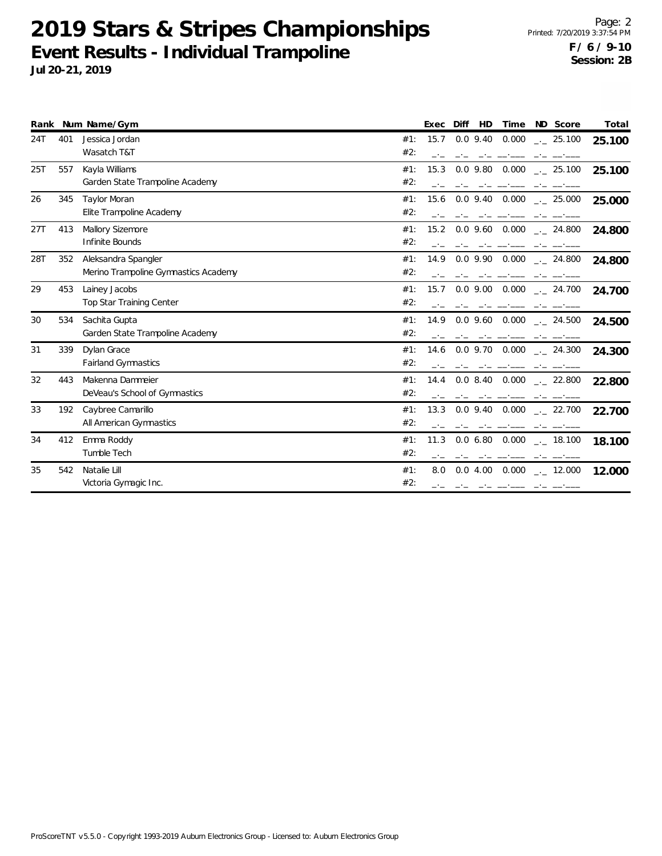|     |     | Rank Num Name/Gym                    |     | Exec | Diff<br>HD         | Time ND Score                               | Total  |
|-----|-----|--------------------------------------|-----|------|--------------------|---------------------------------------------|--------|
| 24T | 401 | Jessica Jordan                       | #1: | 15.7 | $0.0$ 9.40 $0.000$ | $\frac{1}{2}$ 25.100                        | 25.100 |
|     |     | Wasatch T&T                          | #2: |      |                    |                                             |        |
| 25T | 557 | Kayla Williams                       | #1: | 15.3 | $0.0$ 9.80 $0.000$ | $\frac{1}{2}$ 25.100                        | 25.100 |
|     |     | Garden State Trampoline Academy      | #2: |      |                    |                                             |        |
| 26  | 345 | <b>Taylor Moran</b>                  | #1: |      |                    | 15.6 0.0 9.40 0.000 $\frac{1}{2}$ 25.000    | 25.000 |
|     |     | Elite Trampoline Academy             | #2: |      |                    |                                             |        |
| 27T | 413 | Mallory Sizemore                     | #1: |      |                    | 15.2  0.0  9.60  0.000 <sub>--</sub> 24.800 | 24.800 |
|     |     | Infinite Bounds                      | #2: |      |                    |                                             |        |
| 28T | 352 | Aleksandra Spangler                  | #1: |      |                    | 14.9 0.0 9.90 0.000 $\frac{1}{2}$ 24.800    | 24.800 |
|     |     | Merino Trampoline Gymnastics Academy | #2: |      |                    |                                             |        |
| 29  | 453 | Lainey Jacobs                        | #1: |      |                    | $15.7$ 0.0 9.00 0.000 $\ldots$ 24.700       | 24.700 |
|     |     | Top Star Training Center             | #2: |      |                    |                                             |        |
| 30  | 534 | Sachita Gupta                        | #1: | 14.9 |                    | 0.0 9.60 0.000 . 24.500                     | 24.500 |
|     |     | Garden State Trampoline Academy      | #2: |      |                    |                                             |        |
| 31  | 339 | Dylan Grace                          | #1: | 14.6 | 0.0 9.70 0.000     | 24.300                                      | 24.300 |
|     |     | <b>Fairland Gymnastics</b>           | #2: |      |                    |                                             |        |
| 32  | 443 | Makenna Dammeier                     | #1: | 14.4 | $0.0$ 8.40 $0.000$ | $\frac{1}{2}$ 22.800                        | 22.800 |
|     |     | DeVeau's School of Gymnastics        | #2: |      |                    |                                             |        |
| 33  | 192 | Caybree Camarillo                    | #1: | 13.3 | $0.0$ 9.40 $0.000$ | $\frac{1}{2}$ 22.700                        | 22.700 |
|     |     | All American Gymnastics              | #2: |      |                    |                                             |        |
| 34  | 412 | Emma Roddy                           | #1: | 11.3 | 0.0 6.80 0.000     | $_{-.}$ 18.100                              | 18.100 |
|     |     | Tumble Tech                          | #2: |      |                    |                                             |        |
| 35  | 542 | Natalie Lill                         | #1: | 8.0  | 0.04.0000          | $\frac{1}{2}$ 12.000                        | 12.000 |
|     |     | Victoria Gymagic Inc.                | #2: |      |                    |                                             |        |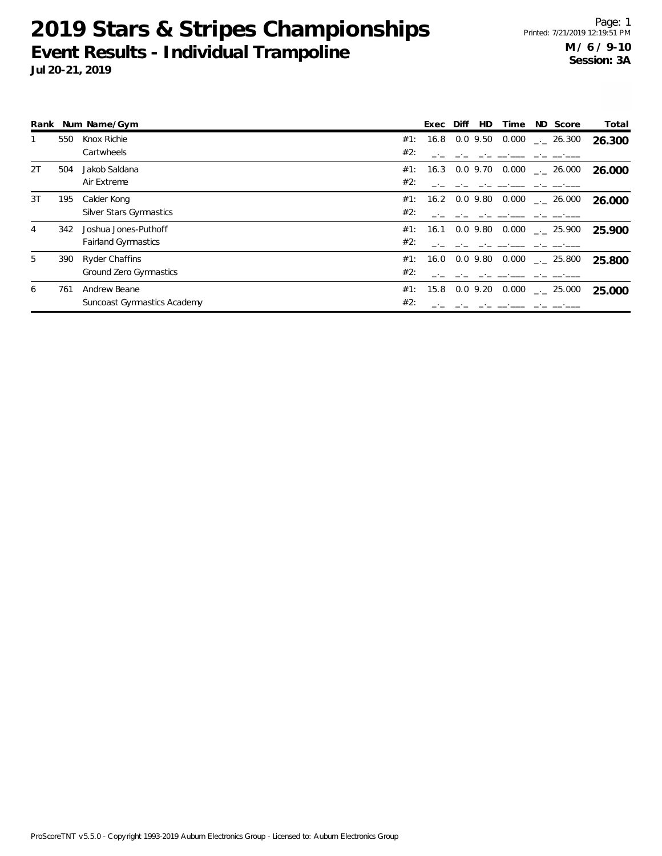| Rank |     | Num Name/Gym                   |     | Exec              | Diff | <b>HD</b>   | Time  | ND Score                       | Total  |
|------|-----|--------------------------------|-----|-------------------|------|-------------|-------|--------------------------------|--------|
|      | 550 | Knox Richie                    | #1: | 16.8              |      | $0.0\,9.50$ |       | $0.000$ $_{\leftarrow}$ 26.300 | 26.300 |
|      |     | Cartwheels                     | #2: |                   |      |             |       |                                |        |
| 2T   | 504 | Jakob Saldana                  | #1: | 16.3 0.0 9.70     |      |             | 0.000 | $\frac{1}{2}$ 26.000           | 26.000 |
|      |     | Air Extreme                    | #2: |                   |      |             |       |                                |        |
| 3T   | 195 | Calder Kong                    |     | #1: 16.2 0.0 9.80 |      |             |       | $0.000$ $_{\leftarrow}$ 26.000 | 26.000 |
|      |     | <b>Silver Stars Gymnastics</b> | #2: |                   |      |             |       |                                |        |
| 4    | 342 | Joshua Jones-Puthoff           | #1: | 16.1              |      | 0.0 9.80    | 0.000 | $\sim$ 25.900                  | 25.900 |
|      |     | <b>Fairland Gymnastics</b>     | #2: |                   |      |             |       |                                |        |
| 5    | 390 | <b>Ryder Chaffins</b>          | #1: | 16.0              |      | 0.0 9.80    |       | $0.000$ $_{\leftarrow}$ 25.800 | 25.800 |
|      |     | Ground Zero Gymnastics         | #2: |                   |      |             |       |                                |        |
| 6    | 761 | Andrew Beane                   | #1: | 15.8              |      | $0.0$ 9.20  | 0.000 | $-25.000$                      | 25.000 |
|      |     | Suncoast Gymnastics Academy    | #2: |                   |      |             |       |                                |        |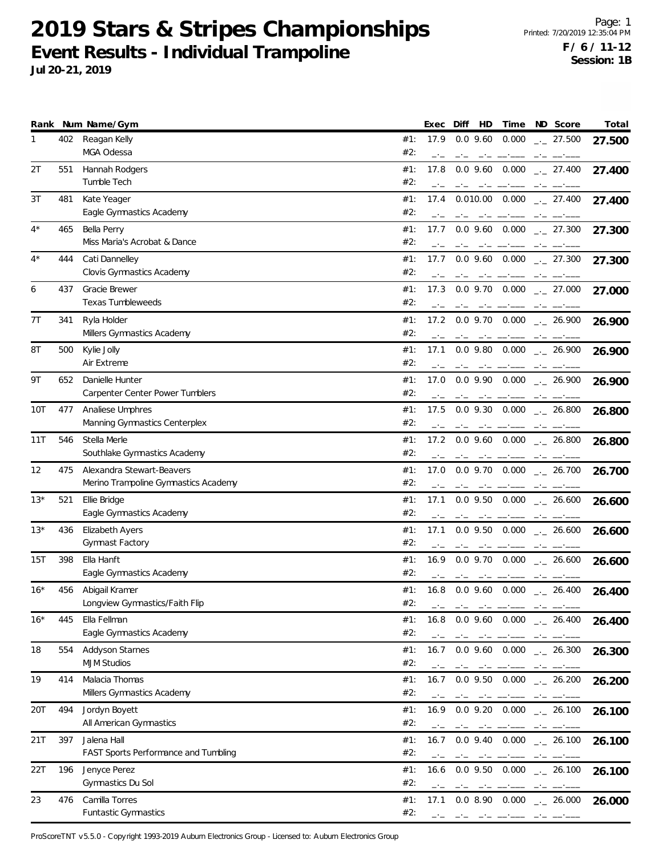**Jul 20-21, 2019**

|       |     | Rank Num Name/Gym                                                 |            | Exec         | HD<br>Diff                                     | Time                                                                                                                                                                                                                                                                                                                                                                                                                                                         | ND Score                                  | Total  |
|-------|-----|-------------------------------------------------------------------|------------|--------------|------------------------------------------------|--------------------------------------------------------------------------------------------------------------------------------------------------------------------------------------------------------------------------------------------------------------------------------------------------------------------------------------------------------------------------------------------------------------------------------------------------------------|-------------------------------------------|--------|
| 1     | 402 | Reagan Kelly<br>MGA Odessa                                        | #1:<br>#2: | 17.9         | $0.0$ 9.60                                     | 0.000                                                                                                                                                                                                                                                                                                                                                                                                                                                        | $\frac{1}{2}$ 27.500                      | 27.500 |
| 2T    | 551 | Hannah Rodgers<br>Tumble Tech                                     | #1:<br>#2: | 17.8         | $0.0$ 9.60                                     | 0.000                                                                                                                                                                                                                                                                                                                                                                                                                                                        | $-27.400$                                 | 27.400 |
| 3T    | 481 | Kate Yeager<br>Eagle Gymnastics Academy                           | #1:<br>#2: | 17.4         | 0.010.00<br>$-1$                               | 0.000<br>سيست السبب السائسان                                                                                                                                                                                                                                                                                                                                                                                                                                 | $-27.400$                                 | 27.400 |
| $4^*$ | 465 | Bella Perry<br>Miss Maria's Acrobat & Dance                       | #1:<br>#2: | 17.7         | $0.0$ 9.60 $0.000$                             |                                                                                                                                                                                                                                                                                                                                                                                                                                                              | $\frac{1}{2}$ 27.300                      | 27.300 |
| $4^*$ | 444 | Cati Dannelley<br>Clovis Gymnastics Academy                       | #1:<br>#2: | 17.7         | $0.0$ 9.60                                     | 0.000                                                                                                                                                                                                                                                                                                                                                                                                                                                        | $\frac{1}{2}$ 27.300                      | 27.300 |
| 6     | 437 | Gracie Brewer<br>Texas Tumbleweeds                                | #1:<br>#2: | 17.3         | $0.0$ 9.70                                     | 0.000                                                                                                                                                                                                                                                                                                                                                                                                                                                        | $\frac{1}{2}$ 27.000                      | 27.000 |
| 7Τ    | 341 | Ryla Holder<br>Millers Gymnastics Academy                         | #1:<br>#2: | 17.2         | $0.0$ 9.70                                     | 0.000                                                                                                                                                                                                                                                                                                                                                                                                                                                        | $\frac{1}{2}$ 26.900                      | 26.900 |
| 8T    | 500 | Kylie Jolly<br>Air Extreme                                        | #1:<br>#2: | 17.1         | $0.0$ 9.80                                     | 0.000                                                                                                                                                                                                                                                                                                                                                                                                                                                        | $-26.900$                                 | 26.900 |
| 9Τ    | 652 | Danielle Hunter<br>Carpenter Center Power Tumblers                | #1:<br>#2: | 17.0         | $0.0$ 9.90 $0.000$                             |                                                                                                                                                                                                                                                                                                                                                                                                                                                              | $-26.900$                                 | 26.900 |
| 10T   | 477 | Analiese Umphres<br>Manning Gymnastics Centerplex                 | #1:<br>#2: | 17.5         | $0.0$ 9.30                                     | 0.000                                                                                                                                                                                                                                                                                                                                                                                                                                                        | $\frac{1}{2}$ 26.800                      | 26.800 |
| 11T   | 546 | Stella Merle<br>Southlake Gymnastics Academy                      | #1:<br>#2: | 17.2<br>$-1$ | $0.0$ 9.60                                     | 0.000                                                                                                                                                                                                                                                                                                                                                                                                                                                        | $-26.800$                                 | 26.800 |
| 12    | 475 | Alexandra Stewart-Beavers<br>Merino Trampoline Gymnastics Academy | #1:<br>#2: | 17.0         | $0.0$ 9.70                                     | 0.000                                                                                                                                                                                                                                                                                                                                                                                                                                                        | $-26.700$                                 | 26.700 |
| $13*$ | 521 | Ellie Bridge<br>Eagle Gymnastics Academy                          | #1:<br>#2: | 17.1         | $0.0$ 9.50 $0.000$                             |                                                                                                                                                                                                                                                                                                                                                                                                                                                              | $\frac{1}{2}$ 26.600                      | 26.600 |
| 13*   | 436 | Elizabeth Ayers<br><b>Gymnast Factory</b>                         | #1:<br>#2: | 17.1<br>$-1$ | $0.0$ 9.50<br>$-1$<br>$-1$                     | 0.000                                                                                                                                                                                                                                                                                                                                                                                                                                                        | $-26.600$                                 | 26.600 |
| 15T   | 398 | Ella Hanft<br>Eagle Gymnastics Academy                            | #1:<br>#2: | 16.9         | $0.0$ 9.70                                     | 0.000                                                                                                                                                                                                                                                                                                                                                                                                                                                        | $-26.600$                                 | 26.600 |
| $16*$ | 456 | Abigail Kramer<br>Longview Gymnastics/Faith Flip                  | #1:<br>#2: | 16.8<br>$-1$ | التافت المستنافسين بنافت المنافث               |                                                                                                                                                                                                                                                                                                                                                                                                                                                              | $0.0$ 9.60 $0.000$ $_{\leftarrow}$ 26.400 | 26.400 |
| $16*$ | 445 | Ella Fellman<br>Eagle Gymnastics Academy                          | #1:<br>#2: | 16.8         | مستحقق والمستحدث                               |                                                                                                                                                                                                                                                                                                                                                                                                                                                              | $0.0$ 9.60 $0.000$ $_{\leftarrow}$ 26.400 | 26.400 |
| 18    | 554 | Addyson Starnes<br><b>MJM Studios</b>                             | #1:<br>#2: | 16.7         | $0.0$ 9.60 $0.000$                             |                                                                                                                                                                                                                                                                                                                                                                                                                                                              | $\frac{1}{2}$ 26.300<br>$-1$              | 26.300 |
| 19    | 414 | Malacia Thomas<br>Millers Gymnastics Academy                      | #1:<br>#2: | 16.7<br>$-1$ | $0.0$ 9.50                                     | 0.000                                                                                                                                                                                                                                                                                                                                                                                                                                                        | $-26.200$                                 | 26.200 |
| 20T   | 494 | Jordyn Boyett<br>All American Gymnastics                          | #1:<br>#2: | 16.9         | $0.0$ 9.20 $0.000$<br>فالمسترد فتناهب المتناصر |                                                                                                                                                                                                                                                                                                                                                                                                                                                              | $\frac{1}{2}$ 26.100                      | 26.100 |
| 21T   | 397 | Jalena Hall<br>FAST Sports Performance and Tumbling               | #1:<br>#2: | 16.7         |                                                | $\mathcal{L} = \mathcal{L} = \mathcal{L} = \mathcal{L} = \mathcal{L} = \mathcal{L} = \mathcal{L} = \mathcal{L} = \mathcal{L} = \mathcal{L} = \mathcal{L} = \mathcal{L} = \mathcal{L} = \mathcal{L} = \mathcal{L} = \mathcal{L} = \mathcal{L} = \mathcal{L} = \mathcal{L} = \mathcal{L} = \mathcal{L} = \mathcal{L} = \mathcal{L} = \mathcal{L} = \mathcal{L} = \mathcal{L} = \mathcal{L} = \mathcal{L} = \mathcal{L} = \mathcal{L} = \mathcal{L} = \mathcal$ | $0.0$ 9.40 $0.000$ $_{\leftarrow}$ 26.100 | 26.100 |
| 22T   | 196 | Jenyce Perez<br>Gymnastics Du Sol                                 | #1:<br>#2: | 16.6<br>$-1$ | $0.0$ 9.50<br>$-1$<br>---------                | 0.000                                                                                                                                                                                                                                                                                                                                                                                                                                                        | $\frac{1}{2}$ 26.100                      | 26.100 |
| 23    | 476 | Camilla Torres<br>Funtastic Gymnastics                            | #1:<br>#2: | 17.1         |                                                |                                                                                                                                                                                                                                                                                                                                                                                                                                                              | $0.08.90$ $0.000$ $_{-1}$ 26.000          | 26.000 |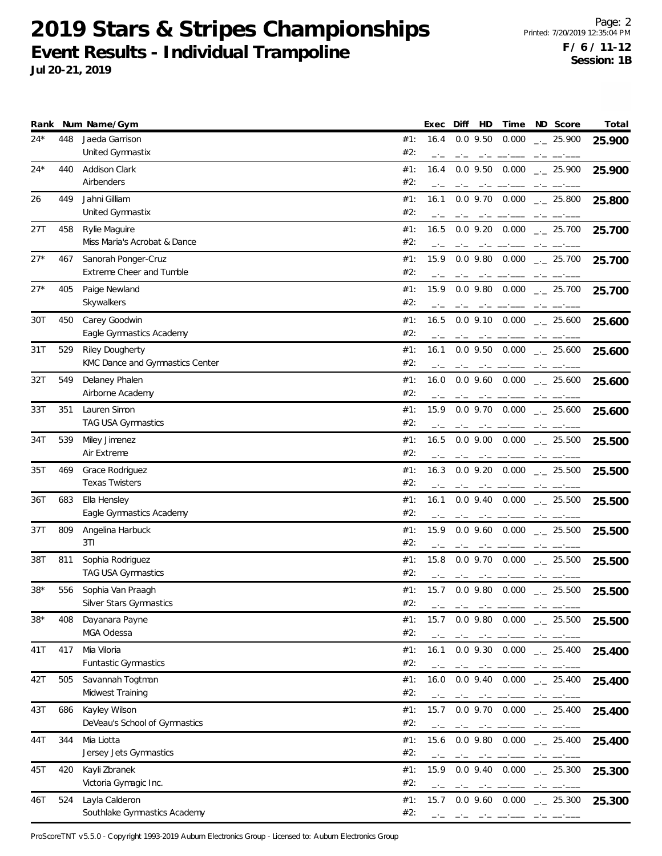**Jul 20-21, 2019**

| Rank  |     | Num Name/Gym                                              | Total<br>HD<br>ND Score<br>Diff<br>Time<br>Exec                                                                                                                                                                                                                                                                                                                                                                                                                                                                                                                                                                                 |
|-------|-----|-----------------------------------------------------------|---------------------------------------------------------------------------------------------------------------------------------------------------------------------------------------------------------------------------------------------------------------------------------------------------------------------------------------------------------------------------------------------------------------------------------------------------------------------------------------------------------------------------------------------------------------------------------------------------------------------------------|
| $24*$ | 448 | Jaeda Garrison<br>United Gymnastix                        | $0.0$ 9.50<br>0.000<br>#1:<br>16.4<br>$-25.900$<br>25.900<br>#2:                                                                                                                                                                                                                                                                                                                                                                                                                                                                                                                                                                |
| $24*$ | 440 | Addison Clark<br>Airbenders                               | $0.0$ 9.50<br>0.000<br>#1:<br>16.4<br>$-25.900$<br>25.900<br>#2:                                                                                                                                                                                                                                                                                                                                                                                                                                                                                                                                                                |
| 26    | 449 | Jahni Gilliam<br>United Gymnastix                         | #1:<br>16.1<br>$0.0$ 9.70<br>0.000<br>$\frac{1}{2}$ 25.800<br>25.800<br>#2:<br>$-1$                                                                                                                                                                                                                                                                                                                                                                                                                                                                                                                                             |
| 27T   | 458 | Rylie Maguire<br>Miss Maria's Acrobat & Dance             | #1:<br>$0.0$ 9.20<br>0.000<br>16.5<br>$\frac{1}{2}$ 25.700<br>25.700<br>#2:                                                                                                                                                                                                                                                                                                                                                                                                                                                                                                                                                     |
| $27*$ | 467 | Sanorah Ponger-Cruz<br>Extreme Cheer and Tumble           | 15.9<br>0.000<br>#1:<br>$0.0$ 9.80<br>$-25.700$<br>25.700<br>#2:                                                                                                                                                                                                                                                                                                                                                                                                                                                                                                                                                                |
| $27*$ | 405 | Paige Newland<br>Skywalkers                               | $0.0$ 9.80<br>0.000<br>#1:<br>15.9<br>$\frac{1}{2}$ 25.700<br>25.700<br>#2:                                                                                                                                                                                                                                                                                                                                                                                                                                                                                                                                                     |
| 30T   | 450 | Carey Goodwin<br>Eagle Gymnastics Academy                 | #1:<br>0.000<br>16.5<br>$0.0$ 9.10<br>$\frac{1}{2}$ 25.600<br>25.600<br>#2:                                                                                                                                                                                                                                                                                                                                                                                                                                                                                                                                                     |
| 31T   | 529 | <b>Riley Dougherty</b><br>KMC Dance and Gymnastics Center | $0.0$ 9.50<br>#1:<br>16.1<br>0.000<br>$\frac{1}{2}$ 25.600<br>25.600<br>#2:                                                                                                                                                                                                                                                                                                                                                                                                                                                                                                                                                     |
| 32T   | 549 | Delaney Phalen<br>Airborne Academy                        | #1:<br>16.0<br>$0.0$ 9.60 $0.000$<br>$\sim$ 25.600<br>25.600<br>#2:                                                                                                                                                                                                                                                                                                                                                                                                                                                                                                                                                             |
| 33T   | 351 | Lauren Simon<br>TAG USA Gymnastics                        | 15.9<br>#1:<br>$0.0$ 9.70<br>0.000<br>$\frac{1}{2}$ 25.600<br>25.600<br>#2:                                                                                                                                                                                                                                                                                                                                                                                                                                                                                                                                                     |
| 34T   | 539 | Miley Jimenez<br>Air Extreme                              | $0.0$ $9.00$<br>0.000<br>#1:<br>16.5<br>$-25.500$<br>25.500<br>#2:<br>$-1$                                                                                                                                                                                                                                                                                                                                                                                                                                                                                                                                                      |
| 35T   | 469 | Grace Rodriguez<br><b>Texas Twisters</b>                  | #1:<br>16.3<br>$0.0$ 9.20<br>0.000<br>$\frac{1}{2}$ 25.500<br>25.500<br>#2:                                                                                                                                                                                                                                                                                                                                                                                                                                                                                                                                                     |
| 36T   | 683 | Ella Hensley<br>Eagle Gymnastics Academy                  | #1:<br>$0.0$ 9.40 $0.000$<br>16.1<br>$\frac{1}{2}$ 25.500<br>25.500<br>#2:                                                                                                                                                                                                                                                                                                                                                                                                                                                                                                                                                      |
| 37T   | 809 | Angelina Harbuck<br>3T1                                   | $0.0$ 9.60<br>0.000<br>#1:<br>15.9<br>$\frac{1}{2}$ 25.500<br>25.500<br>#2:<br>$-1$<br>$-1$<br>$-1$<br>$-1$                                                                                                                                                                                                                                                                                                                                                                                                                                                                                                                     |
| 38T   | 811 | Sophia Rodriguez<br>TAG USA Gymnastics                    | 15.8<br>0.000<br>#1:<br>$0.0$ 9.70<br>$-25.500$<br>25.500<br>#2:<br>والمستنبذ المساحينات                                                                                                                                                                                                                                                                                                                                                                                                                                                                                                                                        |
| $38*$ | 556 | Sophia Van Praagh<br>Silver Stars Gymnastics              | #1:<br>15.7<br>$0.0$ 9.80 $0.000$<br>$-25.500$<br>25.500<br>#2:<br>$-1$<br>المنافس والمستناد فسنبذ المنافس والمسافسة                                                                                                                                                                                                                                                                                                                                                                                                                                                                                                            |
| $38*$ | 408 | Dayanara Payne<br>MGA Odessa                              | $0.0$ 9.80 $0.000$ $_{\leftarrow}$ 25.500<br>#1:<br>15.7<br>25.500<br>#2:                                                                                                                                                                                                                                                                                                                                                                                                                                                                                                                                                       |
| 41T   | 417 | Mia Viloria<br><b>Funtastic Gymnastics</b>                | #1:<br>16.1<br>$0.0$ 9.30<br>0.000<br>$-25.400$<br>25.400<br>#2:<br>$-1$<br>$-1$                                                                                                                                                                                                                                                                                                                                                                                                                                                                                                                                                |
| 42T   | 505 | Savannah Togtman<br>Midwest Training                      | 0.000<br>#1:<br>16.0<br>$0.0$ 9.40<br>$\frac{1}{2}$ 25.400<br>25.400<br>#2:<br>$-1$                                                                                                                                                                                                                                                                                                                                                                                                                                                                                                                                             |
| 43T   | 686 | Kayley Wilson<br>DeVeau's School of Gymnastics            | #1:<br>15.7<br>$0.0$ 9.70 $0.000$<br>$-25.400$<br>25.400<br>#2:<br>والمستور المترامين                                                                                                                                                                                                                                                                                                                                                                                                                                                                                                                                           |
| 44T   | 344 | Mia Liotta<br>Jersey Jets Gymnastics                      | #1:<br>15.6<br>$0.0$ 9.80 $0.000$ $\_{2}$ 25.400<br>25.400<br>#2:<br>$\begin{tabular}{ll} \multicolumn{2}{l}{{\color{red}\boldsymbol{w}}}\\ \multicolumn{2}{l}{\color{blue}\boldsymbol{w}}\\ \multicolumn{2}{l}{\color{blue}\boldsymbol{w}}\\ \multicolumn{2}{l}{\color{blue}\boldsymbol{w}}\\ \multicolumn{2}{l}{\color{blue}\boldsymbol{w}}\\ \multicolumn{2}{l}{\color{blue}\boldsymbol{w}}\\ \multicolumn{2}{l}{\color{blue}\boldsymbol{w}}\\ \multicolumn{2}{l}{\color{blue}\boldsymbol{w}}\\ \multicolumn{2}{l}{\color{blue}\boldsymbol{w}}\\ \multicolumn{2}{l}{\color{blue}\boldsymbol{w}}\\ \multicolumn{2}{l}{\color$ |
| 45T   | 420 | Kayli Zbranek<br>Victoria Gymagic Inc.                    | 0.000<br>#1:<br>15.9<br>$0.0$ 9.40<br>$-25.300$<br>25.300<br>#2:<br>$-1$<br>$-1$<br>$-1$                                                                                                                                                                                                                                                                                                                                                                                                                                                                                                                                        |
| 46T   | 524 | Layla Calderon<br>Southlake Gymnastics Academy            | #1:<br>15.7<br>$0.0$ 9.60 $0.000$ $_{\leftarrow}$ 25.300<br>25.300<br>#2:<br>and the state of the state of the state of                                                                                                                                                                                                                                                                                                                                                                                                                                                                                                         |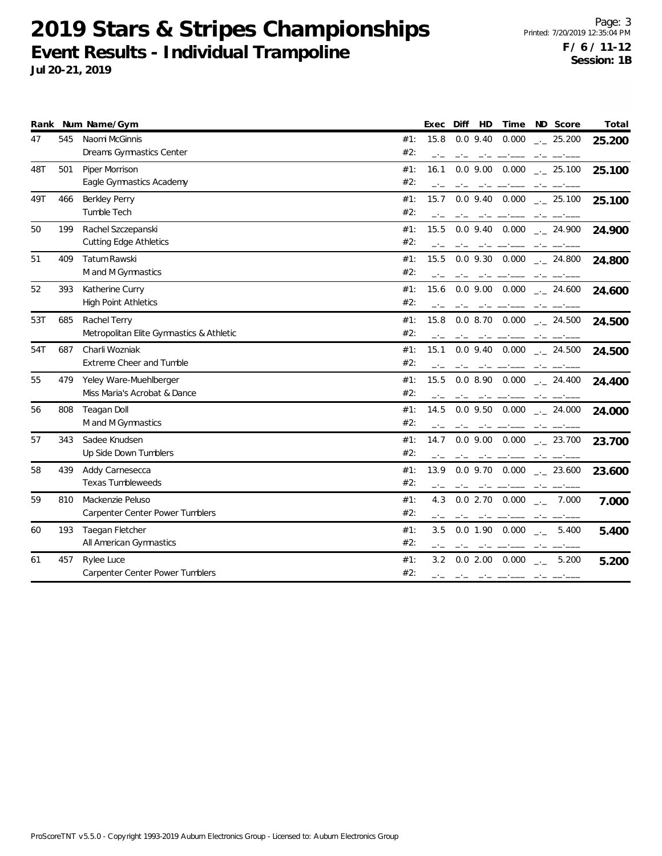| Rank |     | Num Name/Gym                             |     | Exec | Diff<br>HD                                                                                                                                                                                                                                                                                                                                                                                                                       | Time  | ND Score                                                                                                                                                                                                                                                                                                                                                                                     | Total  |
|------|-----|------------------------------------------|-----|------|----------------------------------------------------------------------------------------------------------------------------------------------------------------------------------------------------------------------------------------------------------------------------------------------------------------------------------------------------------------------------------------------------------------------------------|-------|----------------------------------------------------------------------------------------------------------------------------------------------------------------------------------------------------------------------------------------------------------------------------------------------------------------------------------------------------------------------------------------------|--------|
| 47   | 545 | Naomi McGinnis                           | #1: | 15.8 | $0.0$ 9.40                                                                                                                                                                                                                                                                                                                                                                                                                       | 0.000 | $-25.200$                                                                                                                                                                                                                                                                                                                                                                                    | 25.200 |
|      |     | Dreams Gymnastics Center                 | #2: | $-1$ |                                                                                                                                                                                                                                                                                                                                                                                                                                  |       |                                                                                                                                                                                                                                                                                                                                                                                              |        |
| 48T  | 501 | Piper Morrison                           | #1: | 16.1 | $0.0\,9.00$                                                                                                                                                                                                                                                                                                                                                                                                                      | 0.000 | $-25.100$                                                                                                                                                                                                                                                                                                                                                                                    | 25.100 |
|      |     | Eagle Gymnastics Academy                 | #2: |      |                                                                                                                                                                                                                                                                                                                                                                                                                                  |       |                                                                                                                                                                                                                                                                                                                                                                                              |        |
| 49T  | 466 | Berkley Perry                            | #1: | 15.7 | $0.0$ 9.40                                                                                                                                                                                                                                                                                                                                                                                                                       | 0.000 | $\frac{1}{2}$ 25.100                                                                                                                                                                                                                                                                                                                                                                         | 25.100 |
|      |     | Tumble Tech                              | #2: |      |                                                                                                                                                                                                                                                                                                                                                                                                                                  |       |                                                                                                                                                                                                                                                                                                                                                                                              |        |
| 50   | 199 | Rachel Szczepanski                       | #1: | 15.5 | $0.0$ 9.40 $0.000$                                                                                                                                                                                                                                                                                                                                                                                                               |       | $-24.900$                                                                                                                                                                                                                                                                                                                                                                                    | 24.900 |
|      |     | <b>Cutting Edge Athletics</b>            | #2: |      |                                                                                                                                                                                                                                                                                                                                                                                                                                  |       |                                                                                                                                                                                                                                                                                                                                                                                              |        |
| 51   | 409 | Tatum Rawski                             | #1: | 15.5 | $0.0$ 9.30 $0.000$                                                                                                                                                                                                                                                                                                                                                                                                               |       | $\frac{1}{2}$ 24.800                                                                                                                                                                                                                                                                                                                                                                         | 24.800 |
|      |     | M and M Gymnastics                       | #2: |      |                                                                                                                                                                                                                                                                                                                                                                                                                                  |       |                                                                                                                                                                                                                                                                                                                                                                                              |        |
| 52   | 393 | Katherine Curry                          | #1: | 15.6 | $0.0$ 9.00 $0.000$                                                                                                                                                                                                                                                                                                                                                                                                               |       | $-24.600$                                                                                                                                                                                                                                                                                                                                                                                    | 24.600 |
|      |     | <b>High Point Athletics</b>              | #2: |      |                                                                                                                                                                                                                                                                                                                                                                                                                                  |       |                                                                                                                                                                                                                                                                                                                                                                                              |        |
| 53T  | 685 | Rachel Terry                             | #1: | 15.8 | $0.0$ 8.70 $0.000$                                                                                                                                                                                                                                                                                                                                                                                                               |       | $\sim$ 24.500                                                                                                                                                                                                                                                                                                                                                                                | 24.500 |
|      |     | Metropolitan Elite Gymnastics & Athletic | #2: |      | $-1$                                                                                                                                                                                                                                                                                                                                                                                                                             |       |                                                                                                                                                                                                                                                                                                                                                                                              |        |
| 54T  | 687 | Charli Wozniak                           | #1: | 15.1 |                                                                                                                                                                                                                                                                                                                                                                                                                                  |       | $0.0$ 9.40 $0.000$ $_{\leftarrow}$ 24.500                                                                                                                                                                                                                                                                                                                                                    | 24.500 |
|      |     | Extreme Cheer and Tumble                 | #2: |      |                                                                                                                                                                                                                                                                                                                                                                                                                                  |       |                                                                                                                                                                                                                                                                                                                                                                                              |        |
| 55   | 479 | Yeley Ware-Muehlberger                   | #1: | 15.5 |                                                                                                                                                                                                                                                                                                                                                                                                                                  |       | $0.08.90$ $0.000$ $-24.400$                                                                                                                                                                                                                                                                                                                                                                  | 24.400 |
|      |     | Miss Maria's Acrobat & Dance             | #2: |      |                                                                                                                                                                                                                                                                                                                                                                                                                                  |       |                                                                                                                                                                                                                                                                                                                                                                                              |        |
| 56   | 808 | <b>Teagan Doll</b>                       | #1: | 14.5 |                                                                                                                                                                                                                                                                                                                                                                                                                                  |       | $0.0$ 9.50 $0.000$ $_{-1}$ 24.000                                                                                                                                                                                                                                                                                                                                                            | 24.000 |
|      |     | M and M Gymnastics                       | #2: |      |                                                                                                                                                                                                                                                                                                                                                                                                                                  |       |                                                                                                                                                                                                                                                                                                                                                                                              |        |
| 57   | 343 | Sadee Knudsen                            | #1: | 14.7 |                                                                                                                                                                                                                                                                                                                                                                                                                                  |       | $0.0$ 9.00 $0.000$ $_{-1}$ 23.700                                                                                                                                                                                                                                                                                                                                                            | 23.700 |
|      |     | Up Side Down Tumblers                    | #2: |      |                                                                                                                                                                                                                                                                                                                                                                                                                                  |       |                                                                                                                                                                                                                                                                                                                                                                                              |        |
| 58   | 439 | Addy Carnesecca                          | #1: | 13.9 | $0.0$ 9.70 $0.000$                                                                                                                                                                                                                                                                                                                                                                                                               |       | $\frac{1}{2}$ 23.600                                                                                                                                                                                                                                                                                                                                                                         | 23.600 |
|      |     | <b>Texas Tumbleweeds</b>                 | #2: |      | $-1$                                                                                                                                                                                                                                                                                                                                                                                                                             |       |                                                                                                                                                                                                                                                                                                                                                                                              |        |
| 59   | 810 | Mackenzie Peluso                         | #1: | 4.3  | 0.02.70                                                                                                                                                                                                                                                                                                                                                                                                                          | 0.000 | 7.000<br>$\sim$                                                                                                                                                                                                                                                                                                                                                                              | 7.000  |
|      |     | Carpenter Center Power Tumblers          | #2: |      |                                                                                                                                                                                                                                                                                                                                                                                                                                  |       |                                                                                                                                                                                                                                                                                                                                                                                              |        |
| 60   | 193 | Taegan Fletcher                          | #1: | 3.5  | 0.0 1.90                                                                                                                                                                                                                                                                                                                                                                                                                         | 0.000 | 5.400                                                                                                                                                                                                                                                                                                                                                                                        | 5.400  |
|      |     | All American Gymnastics                  | #2: |      |                                                                                                                                                                                                                                                                                                                                                                                                                                  |       |                                                                                                                                                                                                                                                                                                                                                                                              |        |
| 61   | 457 | Rylee Luce                               | #1: | 3.2  | 0.02.00                                                                                                                                                                                                                                                                                                                                                                                                                          | 0.000 | 5.200<br>$\rightarrow$                                                                                                                                                                                                                                                                                                                                                                       | 5.200  |
|      |     | Carpenter Center Power Tumblers          | #2: | $-1$ | $\label{eq:4} \begin{array}{lllllllllllll} \mathbf{1} & \mathbf{1} & \mathbf{1} & \mathbf{1} & \mathbf{1} & \mathbf{1} & \mathbf{1} & \mathbf{1} & \mathbf{1} & \mathbf{1} & \mathbf{1} & \mathbf{1} & \mathbf{1} & \mathbf{1} & \mathbf{1} & \mathbf{1} & \mathbf{1} & \mathbf{1} & \mathbf{1} & \mathbf{1} & \mathbf{1} & \mathbf{1} & \mathbf{1} & \mathbf{1} & \mathbf{1} & \mathbf{1} & \mathbf{1} & \mathbf{1} & \mathbf{$ |       | $\begin{array}{cccccccccc} -\frac{1}{2} & -\frac{1}{2} & -\frac{1}{2} & -\frac{1}{2} & -\frac{1}{2} & -\frac{1}{2} & -\frac{1}{2} & -\frac{1}{2} & -\frac{1}{2} & -\frac{1}{2} & -\frac{1}{2} & -\frac{1}{2} & -\frac{1}{2} & -\frac{1}{2} & -\frac{1}{2} & -\frac{1}{2} & -\frac{1}{2} & -\frac{1}{2} & -\frac{1}{2} & -\frac{1}{2} & -\frac{1}{2} & -\frac{1}{2} & -\frac{1}{2} & -\frac{$ |        |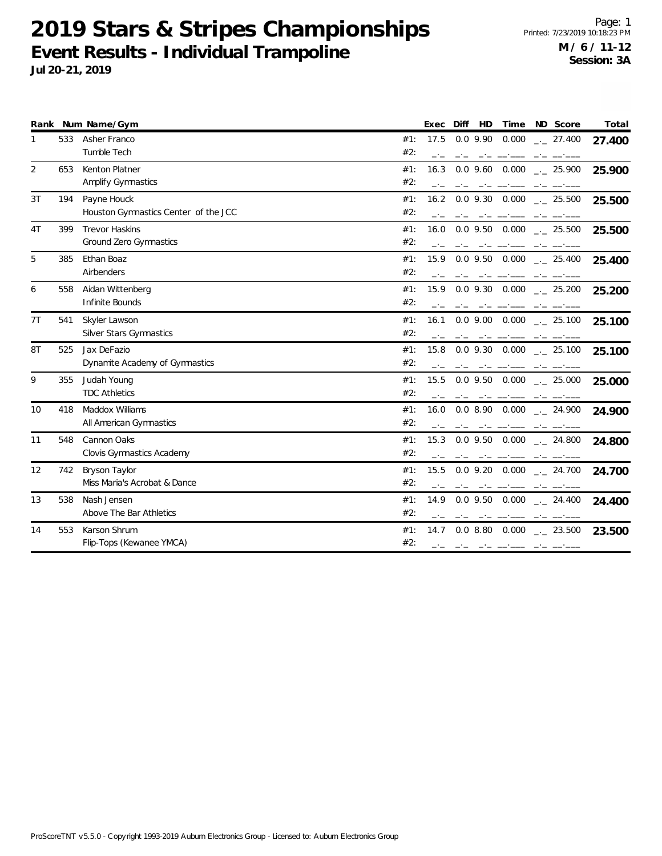Page: 1 Printed: 7/23/2019 10:18:23 PM **M / 6 / 11-12 Session: 3A**

|                |     | Rank Num Name/Gym                    | Diff<br>HD<br>ND Score<br>Total<br>Time<br>Exec                      |
|----------------|-----|--------------------------------------|----------------------------------------------------------------------|
| 1              | 533 | Asher Franco                         | $0.0$ 9.90<br>0.000<br>17.5<br>$\frac{1}{2}$ 27.400<br>#1:<br>27.400 |
|                |     | Tumble Tech                          | #2:<br>$-1$                                                          |
| $\overline{2}$ | 653 | <b>Kenton Platner</b>                | #1:<br>16.3<br>$0.0$ 9.60 $0.000$<br>$-25.900$<br>25.900             |
|                |     | <b>Amplify Gymnastics</b>            | #2:                                                                  |
| 3T             | 194 | Payne Houck                          | $0.0$ 9.30 $0.000$ $_{\leftarrow}$ 25.500<br>#1:<br>16.2<br>25.500   |
|                |     | Houston Gymnastics Center of the JCC | #2:                                                                  |
| 4T             | 399 | <b>Trevor Haskins</b>                | #1:<br>$0.0$ 9.50 $0.000$<br>16.0<br>$\frac{1}{2}$ 25.500<br>25.500  |
|                |     | <b>Ground Zero Gymnastics</b>        | #2:                                                                  |
| 5              | 385 | Ethan Boaz                           | 15.9<br>$0.0$ 9.50 $0.000$<br>#1:<br>$\frac{1}{2}$ 25.400<br>25.400  |
|                |     | Airbenders                           | #2:                                                                  |
| 6              | 558 | Aidan Wittenberg                     | $0.0$ 9.30 $0.000$ $_{-1}$ 25.200<br>15.9<br>#1:<br>25.200           |
|                |     | Infinite Bounds                      | #2:                                                                  |
| 7T             | 541 | Skyler Lawson                        | $0.0$ 9.00 $0.000$ $_{-1}$ 25.100<br>#1:<br>16.1<br>25.100           |
|                |     | <b>Silver Stars Gymnastics</b>       | #2:                                                                  |
| 8T             | 525 | Jax DeFazio                          | $0.0$ 9.30 $0.000$ $_{\leftarrow}$ 25.100<br>#1:<br>15.8<br>25.100   |
|                |     | Dynamite Academy of Gymnastics       | #2:                                                                  |
| 9              | 355 | Judah Young                          | 15.5<br>$0.0$ 9.50 $0.000$<br>#1:<br>$\sim$ 25.000<br>25.000         |
|                |     | <b>TDC Athletics</b>                 | #2:                                                                  |
| 10             | 418 | Maddox Williams                      | $0.08.90$ $0.000$ $_{-1}$ 24.900<br>#1:<br>16.0<br>24.900            |
|                |     | All American Gymnastics              | #2:                                                                  |
| 11             | 548 | Cannon Oaks                          | $0.0$ 9.50 $0.000$ $_{--}$ 24.800<br>15.3<br>#1:<br>24.800           |
|                |     | Clovis Gymnastics Academy            | #2:                                                                  |
| 12             | 742 | Bryson Taylor                        | $0.0$ 9.20 $0.000$ $_{\leftarrow}$ 24.700<br>#1:<br>15.5<br>24.700   |
|                |     | Miss Maria's Acrobat & Dance         | #2:                                                                  |
| 13             | 538 | Nash Jensen                          | $0.0$ 9.50 $0.000$ $_{\leftarrow}$ 24.400<br>#1:<br>14.9<br>24.400   |
|                |     | Above The Bar Athletics              | #2:                                                                  |
| 14             | 553 | Karson Shrum                         | 0.000<br>#1:<br>14.7<br>0.08.80<br>$-23.500$<br>23.500               |
|                |     | Flip-Tops (Kewanee YMCA)             | #2:<br>$-1$<br>-----                                                 |
|                |     |                                      |                                                                      |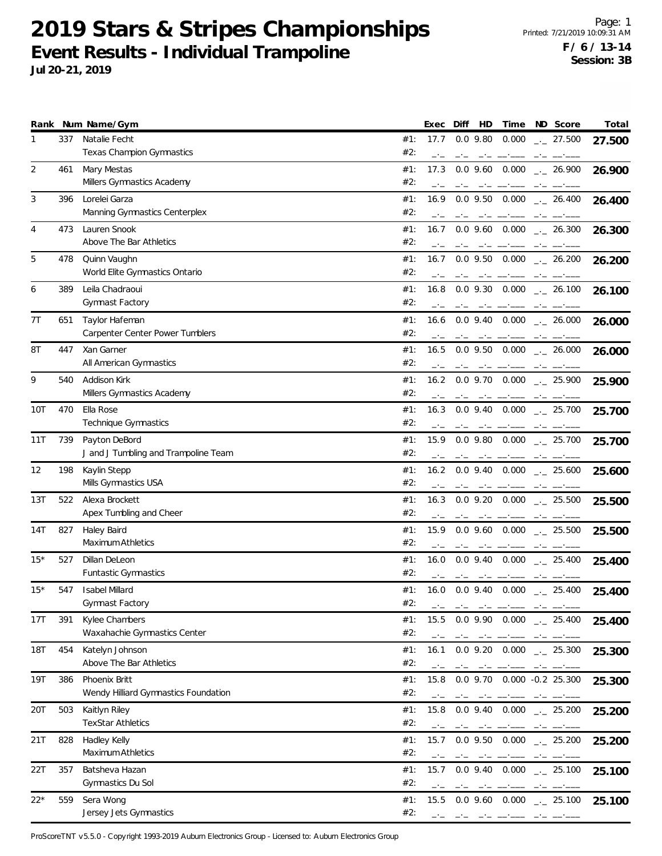**Jul 20-21, 2019**

|            |     | Rank Num Name/Gym                                        |            | Exec           | Diff   | HD                            | Time                                                                                                                                                                                                                                                                                                                                                                                                                                                                   |      | ND Score                               | Total  |
|------------|-----|----------------------------------------------------------|------------|----------------|--------|-------------------------------|------------------------------------------------------------------------------------------------------------------------------------------------------------------------------------------------------------------------------------------------------------------------------------------------------------------------------------------------------------------------------------------------------------------------------------------------------------------------|------|----------------------------------------|--------|
| 1          | 337 | Natalie Fecht<br><b>Texas Champion Gymnastics</b>        | #1:<br>#2: | 17.7<br>$-1$   |        | $0.0$ 9.80<br>$-1$            | 0.000                                                                                                                                                                                                                                                                                                                                                                                                                                                                  |      | $\frac{1}{2}$ 27.500                   | 27.500 |
| 2          | 461 | Mary Mestas<br>Millers Gymnastics Academy                | #1:<br>#2: | 17.3<br>$-1$   | $-1$   | $0.0$ 9.60<br>$-1$            | 0.000                                                                                                                                                                                                                                                                                                                                                                                                                                                                  | $-1$ | $\frac{1}{2}$ 26.900                   | 26.900 |
| 3          | 396 | Lorelei Garza<br>Manning Gymnastics Centerplex           | #1:<br>#2: | 16.9           |        | $0.0$ 9.50                    | 0.000                                                                                                                                                                                                                                                                                                                                                                                                                                                                  |      | $\frac{1}{2}$ 26.400                   | 26.400 |
| 4          | 473 | Lauren Snook<br>Above The Bar Athletics                  | #1:<br>#2: | 16.7           |        |                               | $0.0$ 9.60 $0.000$                                                                                                                                                                                                                                                                                                                                                                                                                                                     |      | $\frac{1}{2}$ 26.300                   | 26.300 |
| 5          | 478 | Quinn Vaughn<br>World Elite Gymnastics Ontario           | #1:<br>#2: | 16.7           |        | $0.0$ 9.50                    | 0.000                                                                                                                                                                                                                                                                                                                                                                                                                                                                  |      | $\frac{1}{2}$ 26.200                   | 26.200 |
| 6          | 389 | Leila Chadraoui<br>Gymnast Factory                       | #1:<br>#2: | 16.8           |        |                               | 0.0 9.30 0.000                                                                                                                                                                                                                                                                                                                                                                                                                                                         |      | $\frac{1}{2}$ 26.100                   | 26.100 |
| 7T         | 651 | Taylor Hafeman<br><b>Carpenter Center Power Tumblers</b> | #1:<br>#2: | 16.6           |        |                               | $0.0$ 9.40 $0.000$                                                                                                                                                                                                                                                                                                                                                                                                                                                     |      | $\frac{1}{2}$ 26.000                   | 26.000 |
| 8T         | 447 | Xan Garner<br>All American Gymnastics                    | #1:<br>#2: | 16.5           |        | $0.0$ 9.50                    | 0.000<br>مسمد المساحي المراجع                                                                                                                                                                                                                                                                                                                                                                                                                                          |      | $\frac{1}{2}$ 26.000                   | 26.000 |
| 9          | 540 | Addison Kirk<br>Millers Gymnastics Academy               | #1:<br>#2: | 16.2           |        | $0.0$ 9.70                    | 0.000<br>and the contract of the contract of the contract of the contract of the contract of the contract of the contract of the contract of the contract of the contract of the contract of the contract of the contract of the contra                                                                                                                                                                                                                                |      | $_{\leftarrow -}$ 25.900<br>$-1$ $ -1$ | 25.900 |
| 10T        | 470 | Ella Rose<br>Technique Gymnastics                        | #1:<br>#2: | 16.3           |        |                               | $0.0$ 9.40 $0.000$                                                                                                                                                                                                                                                                                                                                                                                                                                                     |      | $\frac{1}{2}$ 25.700                   | 25.700 |
| 11T        | 739 | Payton DeBord<br>J and J Tumbling and Trampoline Team    | #1:<br>#2: | 15.9           |        | $0.0$ 9.80                    | 0.000                                                                                                                                                                                                                                                                                                                                                                                                                                                                  |      | $-25.700$                              | 25.700 |
| 12         | 198 | Kaylin Stepp<br>Mills Gymnastics USA                     | #1:<br>#2: | 16.2           |        |                               | $0.0$ 9.40 $0.000$                                                                                                                                                                                                                                                                                                                                                                                                                                                     |      | $\frac{1}{2}$ 25.600                   | 25.600 |
| 13T        | 522 | Alexa Brockett<br>Apex Tumbling and Cheer                | #1:<br>#2: | 16.3           |        | $0.0$ 9.20<br>$-1$            | 0.000                                                                                                                                                                                                                                                                                                                                                                                                                                                                  | $-1$ | $\sim$ 25.500                          | 25.500 |
| 14T        | 827 | Haley Baird<br>Maximum Athletics                         | #1:<br>#2: | 15.9           |        | $0.0$ 9.60                    | 0.000                                                                                                                                                                                                                                                                                                                                                                                                                                                                  |      | $\frac{1}{2}$ 25.500                   | 25.500 |
| $15*$      | 527 | Dillan DeLeon<br>Funtastic Gymnastics                    | #1:<br>#2: | 16.0           |        | $0.0$ 9.40                    | 0.000<br>$\label{eq:4.1} \begin{array}{lllllllllllllll} \mathbf{1}_{\mathbf{1}} & \mathbf{1}_{\mathbf{1}} & \mathbf{1}_{\mathbf{1}} & \mathbf{1}_{\mathbf{1}} & \mathbf{1}_{\mathbf{1}} & \mathbf{1}_{\mathbf{1}} \\ \mathbf{1}_{\mathbf{1}} & \mathbf{1}_{\mathbf{1}} & \mathbf{1}_{\mathbf{1}} & \mathbf{1}_{\mathbf{1}} & \mathbf{1}_{\mathbf{1}} & \mathbf{1}_{\mathbf{1}} & \mathbf{1}_{\mathbf{1}} \\ \mathbf{1}_{\mathbf{1}} & \mathbf{1}_{\mathbf{1}} & \math$ |      | $\frac{1}{2}$ 25.400                   | 25.400 |
| $15*$      | 547 | <b>Isabel Millard</b><br>Gymnast Factory                 | #1:<br>#2: | 16.0<br>$\sim$ | $\sim$ |                               | 0.0 9.40 0.000<br>$\sim$ 100 $\sim$                                                                                                                                                                                                                                                                                                                                                                                                                                    |      | $-25.400$                              | 25.400 |
| 17T        | 391 | Kylee Chambers<br>Waxahachie Gymnastics Center           | #1:<br>#2: | 15.5           | $-1$   | $0.0$ 9.90<br>-----           | $0.000$ $_{\leftarrow}$ 25.400                                                                                                                                                                                                                                                                                                                                                                                                                                         | $-1$ |                                        | 25.400 |
| <b>18T</b> | 454 | Katelyn Johnson<br>Above The Bar Athletics               | #1:<br>#2: | 16.1           |        | $0.0$ 9.20                    | 0.000                                                                                                                                                                                                                                                                                                                                                                                                                                                                  |      | $\frac{1}{2}$ 25.300                   | 25.300 |
| 19T        | 386 | Phoenix Britt<br>Wendy Hilliard Gymnastics Foundation    | #1:<br>#2: | 15.8<br>$-1$   | $-1$   | $0.0$ 9.70<br>مستحدث المستحدث | $0.000 -0.2$ 25.300                                                                                                                                                                                                                                                                                                                                                                                                                                                    |      |                                        | 25.300 |
| 20T        | 503 | Kaitlyn Riley<br><b>TexStar Athletics</b>                | #1:<br>#2: | 15.8<br>$-1$   |        |                               | $0.0$ 9.40 $0.000$ $_{\leftarrow}$ 25.200                                                                                                                                                                                                                                                                                                                                                                                                                              |      |                                        | 25.200 |
| 21T        | 828 | Hadley Kelly<br>Maximum Athletics                        | #1:<br>#2: | 15.7           | $-1$   |                               | $0.0$ 9.50 $0.000$<br>and the company of the con-                                                                                                                                                                                                                                                                                                                                                                                                                      | $-1$ | $\frac{1}{2}$ 25.200                   | 25.200 |
| 22T        | 357 | Batsheva Hazan<br>Gymnastics Du Sol                      | #1:<br>#2: | 15.7<br>$-1$   |        | $0.0$ 9.40                    | 0.000                                                                                                                                                                                                                                                                                                                                                                                                                                                                  |      | $\frac{1}{2}$ 25.100                   | 25.100 |
| 22*        | 559 | Sera Wong<br>Jersey Jets Gymnastics                      | #1:<br>#2: | 15.5           |        |                               | $0.0$ 9.60 $0.000$ $_{\leftarrow}$ 25.100                                                                                                                                                                                                                                                                                                                                                                                                                              |      |                                        | 25.100 |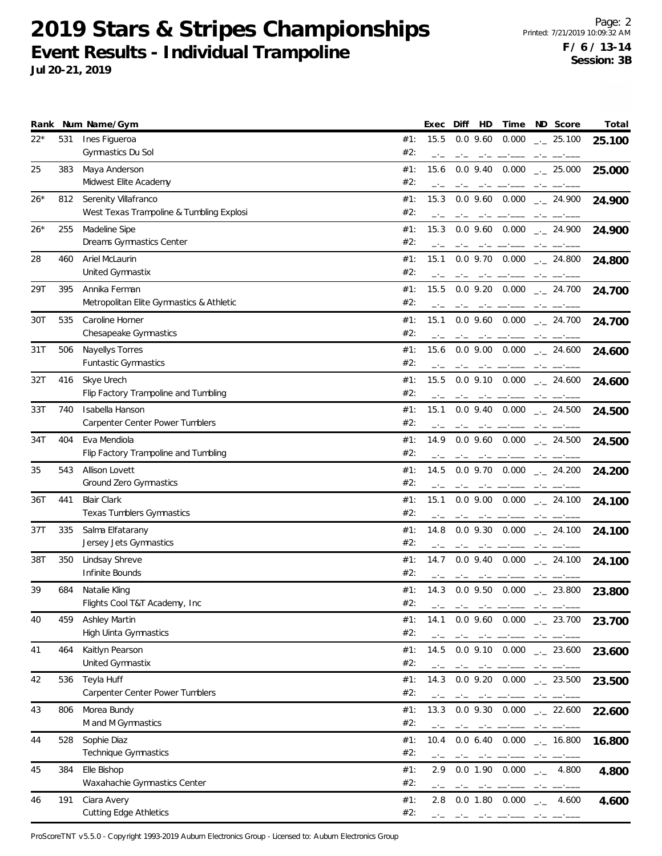**Jul 20-21, 2019**

| Rank  |     | Num Name/Gym                                                     |            | Exec         | Diff | HD                                                                                                                                                                                                                                                                                                                                                                                                                                            | Time                                                                                     | ND Score             | Total  |
|-------|-----|------------------------------------------------------------------|------------|--------------|------|-----------------------------------------------------------------------------------------------------------------------------------------------------------------------------------------------------------------------------------------------------------------------------------------------------------------------------------------------------------------------------------------------------------------------------------------------|------------------------------------------------------------------------------------------|----------------------|--------|
| $22*$ | 531 | Ines Figueroa<br>Gymnastics Du Sol                               | #1:<br>#2: | 15.5         |      | $0.0$ 9.60                                                                                                                                                                                                                                                                                                                                                                                                                                    | 0.000                                                                                    | $-25.100$            | 25.100 |
| 25    | 383 | Maya Anderson<br>Midwest Elite Academy                           | #1:<br>#2: | 15.6<br>$-1$ |      | $0.0$ 9.40<br>and the company of the                                                                                                                                                                                                                                                                                                                                                                                                          | 0.000                                                                                    | $-25.000$<br>$-1$    | 25.000 |
| 26*   | 812 | Serenity Villafranco<br>West Texas Trampoline & Tumbling Explosi | #1:<br>#2: | 15.3<br>$-1$ |      | $0.0$ 9.60<br>$-1$                                                                                                                                                                                                                                                                                                                                                                                                                            | 0.000                                                                                    | $-24.900$            | 24.900 |
| 26*   | 255 | Madeline Sipe<br>Dreams Gymnastics Center                        | #1:<br>#2: | 15.3         |      |                                                                                                                                                                                                                                                                                                                                                                                                                                               | $0.0$ 9.60 $0.000$                                                                       | $\frac{1}{2}$ 24.900 | 24.900 |
| 28    | 460 | Ariel McLaurin<br>United Gymnastix                               | #1:<br>#2: | 15.1         |      | $0.0$ 9.70<br>$-1$                                                                                                                                                                                                                                                                                                                                                                                                                            | 0.000                                                                                    | $-24.800$            | 24.800 |
| 29T   | 395 | Annika Ferman<br>Metropolitan Elite Gymnastics & Athletic        | #1:<br>#2: | 15.5         |      | $0.0$ 9.20                                                                                                                                                                                                                                                                                                                                                                                                                                    | 0.000                                                                                    | $\sim$ 24.700        | 24.700 |
| 30T   | 535 | Caroline Horner<br>Chesapeake Gymnastics                         | #1:<br>#2: | 15.1         |      | $0.0$ 9.60                                                                                                                                                                                                                                                                                                                                                                                                                                    | 0.000                                                                                    | $\frac{1}{2}$ 24.700 | 24.700 |
| 31 T  | 506 | Nayellys Torres<br>Funtastic Gymnastics                          | #1:<br>#2: | 15.6         |      | $0.0$ 9.00<br>$-1$                                                                                                                                                                                                                                                                                                                                                                                                                            | $0.000$ _ 24.600                                                                         |                      | 24.600 |
| 32T   | 416 | Skye Urech<br>Flip Factory Trampoline and Tumbling               | #1:<br>#2: | 15.5         |      |                                                                                                                                                                                                                                                                                                                                                                                                                                               | $0.0$ 9.10 $0.000$                                                                       | $-24.600$            | 24.600 |
| 33T   | 740 | Isabella Hanson<br><b>Carpenter Center Power Tumblers</b>        | #1:<br>#2: | 15.1         |      | $0.0$ 9.40                                                                                                                                                                                                                                                                                                                                                                                                                                    | $0.000$ _ 24.500                                                                         |                      | 24.500 |
| 34T   | 404 | Eva Mendiola<br>Flip Factory Trampoline and Tumbling             | #1:<br>#2: | 14.9         |      | $0.0$ 9.60                                                                                                                                                                                                                                                                                                                                                                                                                                    | 0.000                                                                                    | $\sim$ 24.500        | 24.500 |
| 35    | 543 | Allison Lovett<br>Ground Zero Gymnastics                         | #1:<br>#2: | 14.5         |      |                                                                                                                                                                                                                                                                                                                                                                                                                                               | $0.0$ 9.70 $0.000$ $_{\leftarrow}$ 24.200                                                |                      | 24.200 |
| 36T   | 441 | <b>Blair Clark</b><br><b>Texas Tumblers Gymnastics</b>           | #1:<br>#2: | 15.1         |      |                                                                                                                                                                                                                                                                                                                                                                                                                                               | $0.0$ 9.00 $0.000$ $_{\dots}$ 24.100                                                     |                      | 24.100 |
| 37T   | 335 | Salma Elfatarany<br>Jersey Jets Gymnastics                       | #1:<br>#2: | 14.8<br>$-1$ |      | $0.0$ 9.30                                                                                                                                                                                                                                                                                                                                                                                                                                    | 0.000                                                                                    | $-24.100$            | 24.100 |
| 38T   | 350 | Lindsay Shreve<br>Infinite Bounds                                | #1:<br>#2: | 14.7         |      | $0.0$ 9.40                                                                                                                                                                                                                                                                                                                                                                                                                                    | 0.000                                                                                    | $\frac{1}{2}$ 24.100 | 24.100 |
| 39    | 684 | Natalie Kling<br>Flights Cool T&T Academy, Inc.                  | #1:<br>#2: | 14.3<br>$-1$ | $-1$ | $-1$                                                                                                                                                                                                                                                                                                                                                                                                                                          | $0.0$ 9.50 $0.000$ $_{\leftarrow}$ 23.800                                                |                      | 23.800 |
| 40    | 459 | Ashley Martin<br>High Uinta Gymnastics                           | #1:<br>#2: | 14.1<br>$-1$ | $-1$ | مستحقق المستحدث                                                                                                                                                                                                                                                                                                                                                                                                                               | $0.0$ 9.60 $0.000$ $_{-1}$ 23.700                                                        | $-1$                 | 23.700 |
| 41    | 464 | Kaitlyn Pearson<br>United Gymnastix                              | #1:<br>#2: | 14.5         |      |                                                                                                                                                                                                                                                                                                                                                                                                                                               | $0.0$ 9.10 $0.000$                                                                       | $\frac{1}{2}$ 23.600 | 23.600 |
| 42    | 536 | Teyla Huff<br>Carpenter Center Power Tumblers                    | #1:<br>#2: | 14.3<br>$-1$ |      | $\frac{1}{2} \frac{1}{2} \left( \frac{1}{2} \right) \frac{1}{2} \left( \frac{1}{2} \right) \frac{1}{2} \left( \frac{1}{2} \right) \frac{1}{2} \left( \frac{1}{2} \right) \frac{1}{2} \left( \frac{1}{2} \right) \frac{1}{2} \left( \frac{1}{2} \right) \frac{1}{2} \left( \frac{1}{2} \right) \frac{1}{2} \left( \frac{1}{2} \right) \frac{1}{2} \left( \frac{1}{2} \right) \frac{1}{2} \left( \frac{1}{2} \right) \frac{1}{2} \left( \frac{$ | $0.0$ 9.20 $0.000$ $_{\leftarrow}$ 23.500                                                | $-1$                 | 23.500 |
| 43    | 806 | Morea Bundy<br>M and M Gymnastics                                | #1:<br>#2: | 13.3<br>$-1$ |      |                                                                                                                                                                                                                                                                                                                                                                                                                                               | $0.0$ 9.30 $0.000$ $_{\leftarrow}$ 22.600<br>المنافس والمستنبأ فسألت والمنافس والمنافسات |                      | 22.600 |
| 44    | 528 | Sophie Diaz<br>Technique Gymnastics                              | #1:<br>#2: | 10.4         |      |                                                                                                                                                                                                                                                                                                                                                                                                                                               | $0.0\,6.40\,0.000\,$ $_{\sim}$ 16.800<br>and the component of the components             |                      | 16.800 |
| 45    | 384 | Elle Bishop<br>Waxahachie Gymnastics Center                      | #1:<br>#2: | 2.9<br>$-1$  | $-1$ | 0.0 1.90<br>the first company of the                                                                                                                                                                                                                                                                                                                                                                                                          | $0.000$ $_{-.}$ 4.800                                                                    |                      | 4.800  |
| 46    | 191 | Ciara Avery<br><b>Cutting Edge Athletics</b>                     | #1:<br>#2: | 2.8          |      | والمستنبذ المساحين المساحسة                                                                                                                                                                                                                                                                                                                                                                                                                   | $0.0$ 1.80 $0.000$                                                                       | $\frac{1}{2}$ 4.600  | 4.600  |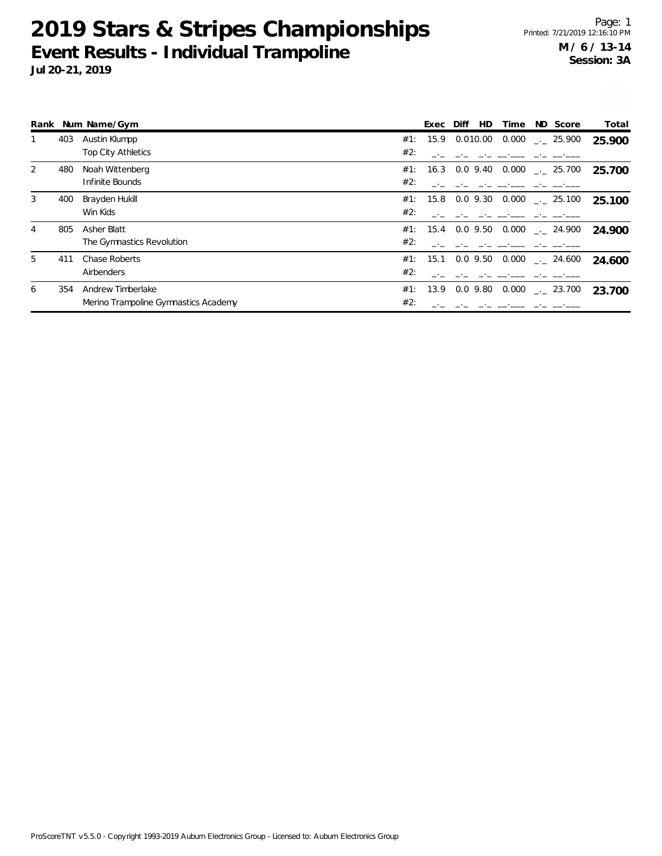|   |     | Rank Num Name/Gym                    |     | Exec     | Diff     | HD. | Time  | ND Score                       | Total  |
|---|-----|--------------------------------------|-----|----------|----------|-----|-------|--------------------------------|--------|
|   | 403 | Austin Klumpp                        | #1: | 15.9     | 0.010.00 |     |       | $0.000$ $_{\leftarrow}$ 25.900 | 25.900 |
|   |     | <b>Top City Athletics</b>            | #2: |          |          |     |       |                                |        |
| 2 | 480 | Noah Wittenberg                      | #1: | 16.3     | 0.0 9.40 |     |       | $0.000$ _._ 25.700             | 25.700 |
|   |     | Infinite Bounds                      | #2: |          |          |     |       |                                |        |
| 3 | 400 | Brayden Hukill                       | #1: | 15.8     | 0.0 9.30 |     |       | $0.000$ $_{\leftarrow}$ 25.100 | 25.100 |
|   |     | Win Kids                             | #2: |          |          |     |       |                                |        |
| 4 | 805 | Asher Blatt                          |     | #1: 15.4 | 0.0 9.50 |     |       | $0.000$ $_{-.}$ 24.900         | 24.900 |
|   |     | The Gymnastics Revolution            | #2: |          |          |     |       |                                |        |
| 5 | 411 | Chase Roberts                        | #1: | 15.1     | 0.0 9.50 |     |       | $0.000$ _._ 24.600             | 24.600 |
|   |     | Airbenders                           | #2: |          |          |     |       |                                |        |
| 6 | 354 | Andrew Timberlake                    | #1: | 13.9     | 0.0 9.80 |     | 0.000 | $\sim$ 23.700                  | 23.700 |
|   |     | Merino Trampoline Gymnastics Academy | #2: |          |          |     |       |                                |        |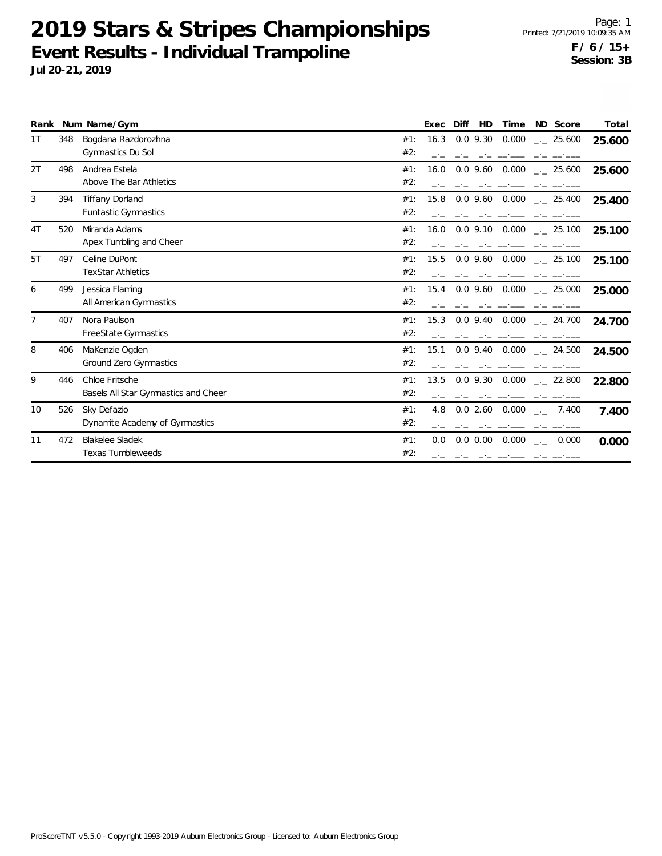|    |     | Rank Num Name/Gym                                      |            | Exec | Diff        | HD | Time               | ND Score                                  | Total  |
|----|-----|--------------------------------------------------------|------------|------|-------------|----|--------------------|-------------------------------------------|--------|
| 1T | 348 | Bogdana Razdorozhna<br>Gymnastics Du Sol               | #1:<br>#2: | 16.3 | $0.0$ 9.30  |    | 0.000              | $-25.600$                                 | 25.600 |
| 2T | 498 | Andrea Estela<br>Above The Bar Athletics               | #1:<br>#2: | 16.0 |             |    | $0.0$ 9.60 $0.000$ | $\frac{1}{2}$ 25.600                      | 25.600 |
| 3  | 394 | <b>Tiffany Dorland</b><br><b>Funtastic Gymnastics</b>  | #1:<br>#2: | 15.8 |             |    | $0.0$ 9.60 $0.000$ | $-25.400$                                 | 25.400 |
| 4T | 520 | Miranda Adams<br>Apex Tumbling and Cheer               | #1:<br>#2: | 16.0 | $0.0$ 9.10  |    | 0.000              | $\frac{1}{2}$ 25.100                      | 25.100 |
| 5T | 497 | Celine DuPont<br><b>TexStar Athletics</b>              | #1:<br>#2: | 15.5 |             |    | $0.0$ 9.60 $0.000$ | $-25.100$                                 | 25.100 |
| 6  | 499 | Jessica Flaming<br>All American Gymnastics             | #1:<br>#2: | 15.4 | $0.0$ 9.60  |    | 0.000              | $\frac{1}{2}$ 25.000                      | 25.000 |
| 7  | 407 | Nora Paulson<br>FreeState Gymnastics                   | #1:<br>#2: | 15.3 | $0.0$ 9.40  |    | 0.000              | . 24.700                                  | 24.700 |
| 8  | 406 | MaKenzie Ogden<br>Ground Zero Gymnastics               | #1:<br>#2: | 15.1 | $0.0$ 9.40  |    | 0.000              | $\frac{1}{2}$ 24.500                      | 24.500 |
| 9  | 446 | Chloe Fritsche<br>Basels All Star Gymnastics and Cheer | #1:<br>#2: | 13.5 |             |    |                    | $0.0$ 9.30 $0.000$ $_{\leftarrow}$ 22.800 | 22.800 |
| 10 | 526 | Sky Defazio<br>Dynamite Academy of Gymnastics          | #1:<br>#2: | 4.8  | 0.02.60     |    | 0.000              | 7.400<br>$\rightarrow$                    | 7.400  |
| 11 | 472 | <b>Blakelee Sladek</b><br><b>Texas Tumbleweeds</b>     | #1:<br>#2: | 0.0  | $0.0\ 0.00$ |    | 0.000              | 0.000<br>$\rightarrow$                    | 0.000  |